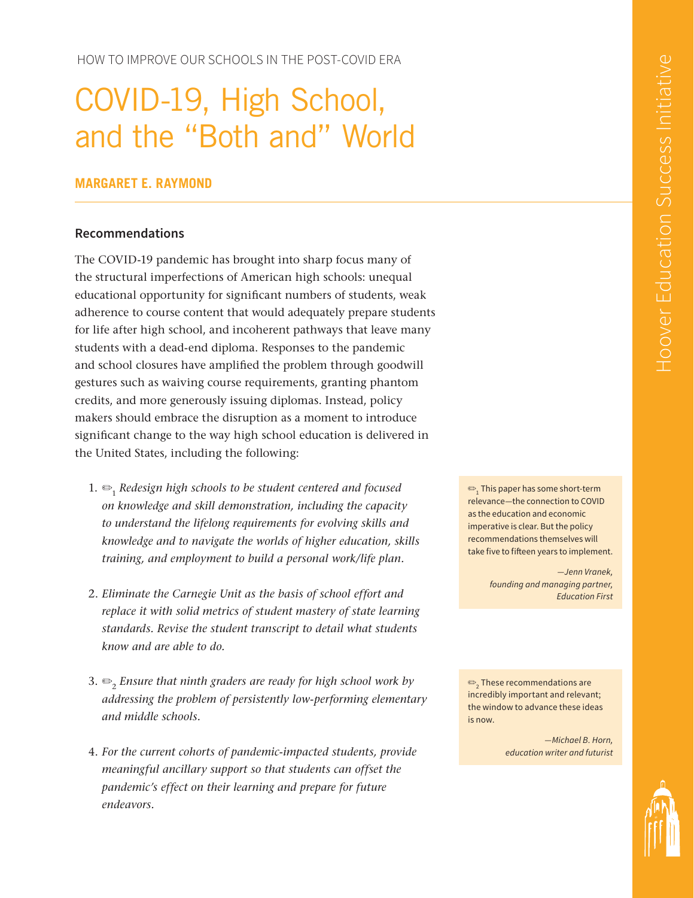HOW TO IMPROVE OUR SCHOOLS IN THE POST-COVID ERA

# COVID-19, High School, and the "Both and" World

### **MARGARET E. RAYMOND**

#### **Recommendations**

The COVID-19 pandemic has brought into sharp focus many of the structural imperfections of American high schools: unequal educational opportunity for significant numbers of students, weak adherence to course content that would adequately prepare students for life after high school, and incoherent pathways that leave many students with a dead-end diploma. Responses to the pandemic and school closures have amplified the problem through goodwill gestures such as waiving course requirements, granting phantom credits, and more generously issuing diplomas. Instead, policy makers should embrace the disruption as a moment to introduce significant change to the way high school education is delivered in the United States, including the following:

- 1. ✏<sup>1</sup> *Redesign high schools to be student centered and focused on knowledge and skill demonstration, including the capacity to understand the lifelong requirements for evolving skills and knowledge and to navigate the worlds of higher education, skills training, and employment to build a personal work/life plan.*
- 2. *Eliminate the Carnegie Unit as the basis of school effort and replace it with solid metrics of student mastery of state learning standards. Revise the student transcript to detail what students know and are able to do.*
- 3. ✏<sup>2</sup> *Ensure that ninth graders are ready for high school work by addressing the problem of persistently low-performing elementary and middle schools.*
- 4. *For the current cohorts of pandemic-impacted students, provide meaningful ancillary support so that students can offset the pandemic's effect on their learning and prepare for future endeavors.*

 $\textbf{P}_\text{1}$  This paper has some short-term relevance—the connection to COVID as the education and economic imperative is clear. But the policy recommendations themselves will take five to fifteen years to implement.

> *—Jenn Vranek, founding and managing partner, Education First*

 $\textbf{\large $\frac{\footnotesize{0.25}}{2}$}$  These recommendations are incredibly important and relevant; the window to advance these ideas is now.

> *—Michael B. Horn, education writer and futurist*

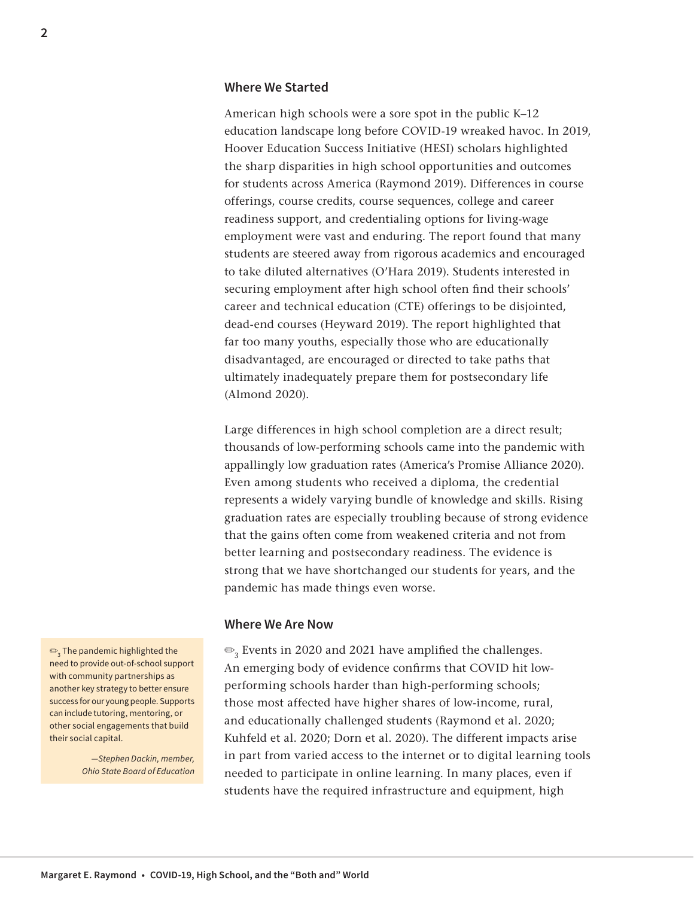#### **Where We Started**

American high schools were a sore spot in the public K–12 education landscape long before COVID-19 wreaked havoc. In 2019, Hoover Education Success Initiative (HESI) scholars highlighted the sharp disparities in high school opportunities and outcomes for students across America (Raymond 2019). Differences in course offerings, course credits, course sequences, college and career readiness support, and credentialing options for living-wage employment were vast and enduring. The report found that many students are steered away from rigorous academics and encouraged to take diluted alternatives (O'Hara 2019). Students interested in securing employment after high school often find their schools' career and technical education (CTE) offerings to be disjointed, dead-end courses (Heyward 2019). The report highlighted that far too many youths, especially those who are educationally disadvantaged, are encouraged or directed to take paths that ultimately inadequately prepare them for postsecondary life (Almond 2020).

Large differences in high school completion are a direct result; thousands of low-performing schools came into the pandemic with appallingly low graduation rates (America's Promise Alliance 2020). Even among students who received a diploma, the credential represents a widely varying bundle of knowledge and skills. Rising graduation rates are especially troubling because of strong evidence that the gains often come from weakened criteria and not from better learning and postsecondary readiness. The evidence is strong that we have shortchanged our students for years, and the pandemic has made things even worse.

#### **Where We Are Now**

 $\mathcal{D}_3$  Events in 2020 and 2021 have amplified the challenges. An emerging body of evidence confirms that COVID hit lowperforming schools harder than high-performing schools; those most affected have higher shares of low-income, rural, and educationally challenged students (Raymond et al. 2020; Kuhfeld et al. 2020; Dorn et al. 2020). The different impacts arise in part from varied access to the internet or to digital learning tools needed to participate in online learning. In many places, even if students have the required infrastructure and equipment, high

 $\textbf{\large $\frac{\mathfrak{S}}{2}$}$  The pandemic highlighted the need to provide out-of-school support with community partnerships as another key strategy to better ensure success for our young people. Supports can include tutoring, mentoring, or other social engagements that build their social capital.

> *—Stephen Dackin, member, Ohio State Board of Education*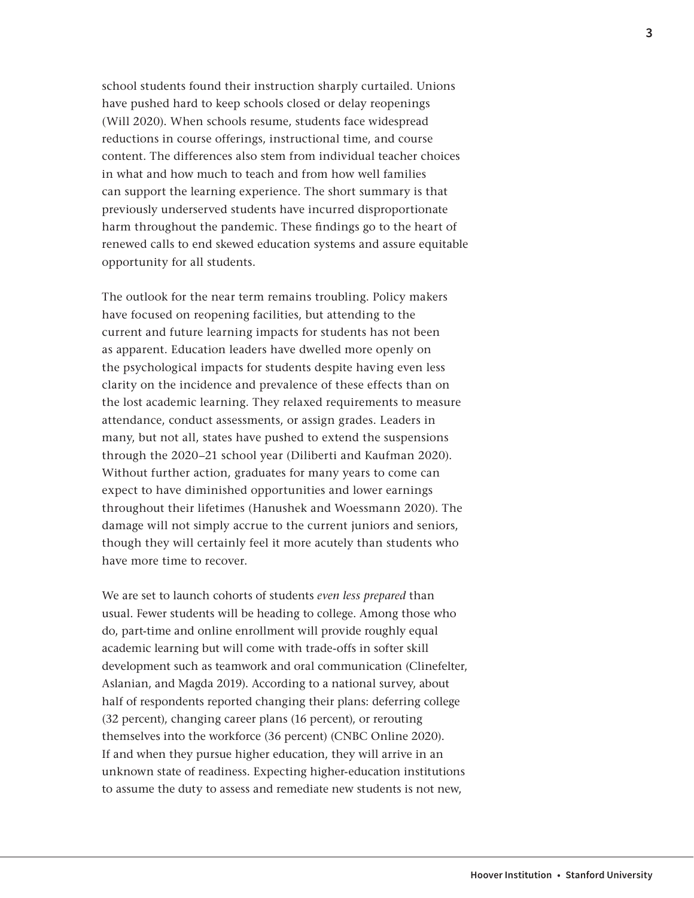school students found their instruction sharply curtailed. Unions have pushed hard to keep schools closed or delay reopenings (Will 2020). When schools resume, students face widespread reductions in course offerings, instructional time, and course content. The differences also stem from individual teacher choices in what and how much to teach and from how well families can support the learning experience. The short summary is that previously underserved students have incurred disproportionate harm throughout the pandemic. These findings go to the heart of renewed calls to end skewed education systems and assure equitable opportunity for all students.

The outlook for the near term remains troubling. Policy makers have focused on reopening facilities, but attending to the current and future learning impacts for students has not been as apparent. Education leaders have dwelled more openly on the psychological impacts for students despite having even less clarity on the incidence and prevalence of these effects than on the lost academic learning. They relaxed requirements to measure attendance, conduct assessments, or assign grades. Leaders in many, but not all, states have pushed to extend the suspensions through the 2020–21 school year (Diliberti and Kaufman 2020). Without further action, graduates for many years to come can expect to have diminished opportunities and lower earnings throughout their lifetimes (Hanushek and Woessmann 2020). The damage will not simply accrue to the current juniors and seniors, though they will certainly feel it more acutely than students who have more time to recover.

We are set to launch cohorts of students *even less prepared* than usual. Fewer students will be heading to college. Among those who do, part-time and online enrollment will provide roughly equal academic learning but will come with trade-offs in softer skill development such as teamwork and oral communication (Clinefelter, Aslanian, and Magda 2019). According to a national survey, about half of respondents reported changing their plans: deferring college (32 percent), changing career plans (16 percent), or rerouting themselves into the workforce (36 percent) (CNBC Online 2020). If and when they pursue higher education, they will arrive in an unknown state of readiness. Expecting higher-education institutions to assume the duty to assess and remediate new students is not new,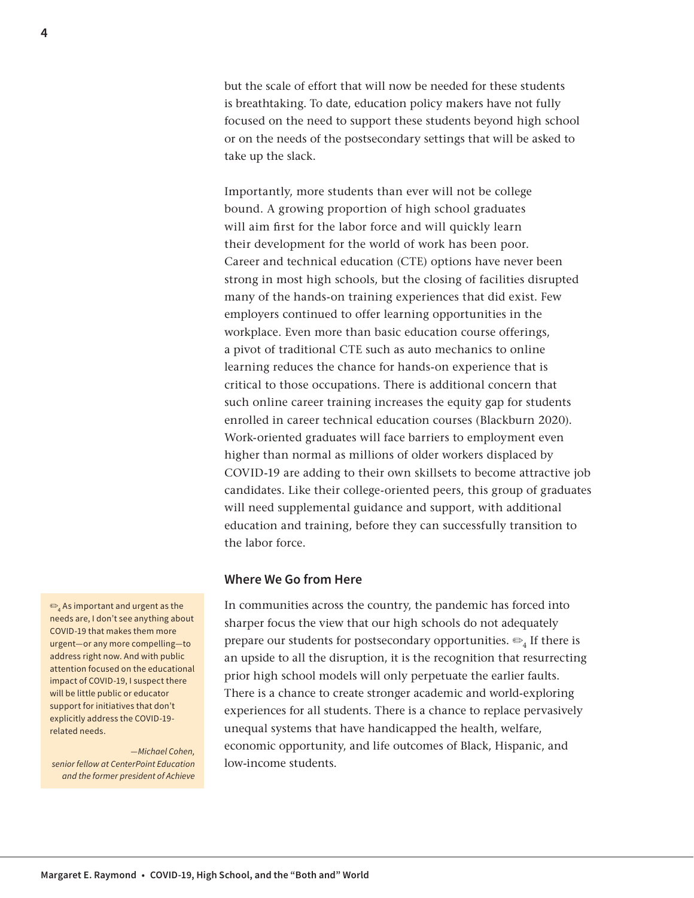but the scale of effort that will now be needed for these students is breathtaking. To date, education policy makers have not fully focused on the need to support these students beyond high school or on the needs of the postsecondary settings that will be asked to take up the slack.

Importantly, more students than ever will not be college bound. A growing proportion of high school graduates will aim first for the labor force and will quickly learn their development for the world of work has been poor. Career and technical education (CTE) options have never been strong in most high schools, but the closing of facilities disrupted many of the hands-on training experiences that did exist. Few employers continued to offer learning opportunities in the workplace. Even more than basic education course offerings, a pivot of traditional CTE such as auto mechanics to online learning reduces the chance for hands-on experience that is critical to those occupations. There is additional concern that such online career training increases the equity gap for students enrolled in career technical education courses (Blackburn 2020). Work-oriented graduates will face barriers to employment even higher than normal as millions of older workers displaced by COVID-19 are adding to their own skillsets to become attractive job candidates. Like their college-oriented peers, this group of graduates will need supplemental guidance and support, with additional education and training, before they can successfully transition to the labor force.

#### **Where We Go from Here**

In communities across the country, the pandemic has forced into sharper focus the view that our high schools do not adequately prepare our students for postsecondary opportunities.  $\mathfrak{S}_4$  If there is an upside to all the disruption, it is the recognition that resurrecting prior high school models will only perpetuate the earlier faults. There is a chance to create stronger academic and world-exploring experiences for all students. There is a chance to replace pervasively unequal systems that have handicapped the health, welfare, economic opportunity, and life outcomes of Black, Hispanic, and low-income students.

 $\textbf{a}_4$  As important and urgent as the needs are, I don't see anything about COVID-19 that makes them more urgent—or any more compelling—to address right now. And with public attention focused on the educational impact of COVID-19, I suspect there will be little public or educator support for initiatives that don't explicitly address the COVID-19 related needs.

*—Michael Cohen, senior fellow at CenterPoint Education and the former president of Achieve*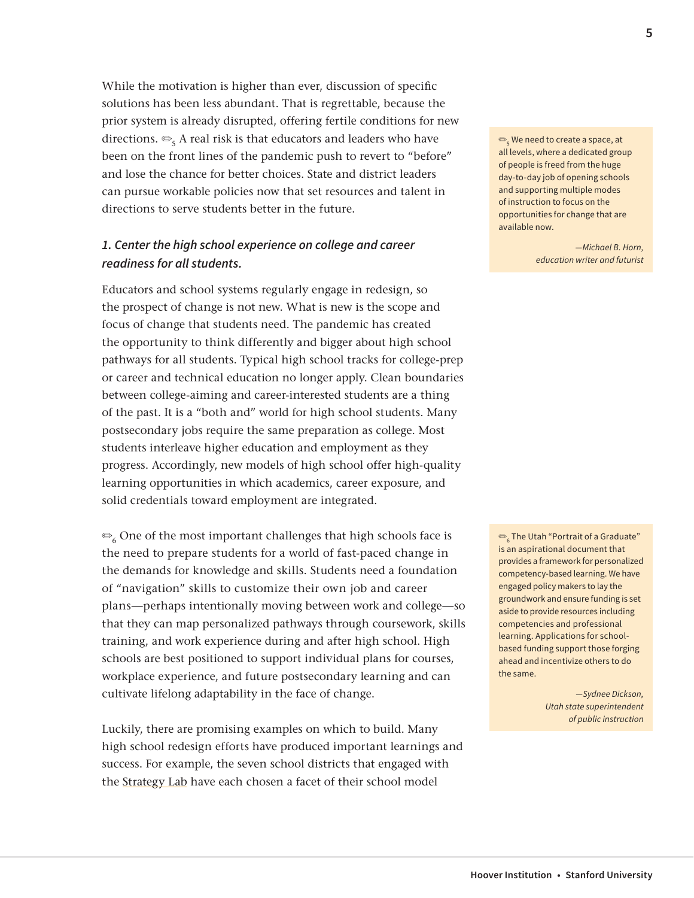While the motivation is higher than ever, discussion of specific solutions has been less abundant. That is regrettable, because the prior system is already disrupted, offering fertile conditions for new directions.  $\mathfrak{S}_5$  A real risk is that educators and leaders who have been on the front lines of the pandemic push to revert to "before" and lose the chance for better choices. State and district leaders can pursue workable policies now that set resources and talent in directions to serve students better in the future.

## *1. Center the high school experience on college and career readiness for all students.*

Educators and school systems regularly engage in redesign, so the prospect of change is not new. What is new is the scope and focus of change that students need. The pandemic has created the opportunity to think differently and bigger about high school pathways for all students. Typical high school tracks for college-prep or career and technical education no longer apply. Clean boundaries between college-aiming and career-interested students are a thing of the past. It is a "both and" world for high school students. Many postsecondary jobs require the same preparation as college. Most students interleave higher education and employment as they progress. Accordingly, new models of high school offer high-quality learning opportunities in which academics, career exposure, and solid credentials toward employment are integrated.

 $\mathcal{L}_6$  One of the most important challenges that high schools face is the need to prepare students for a world of fast-paced change in the demands for knowledge and skills. Students need a foundation of "navigation" skills to customize their own job and career plans—perhaps intentionally moving between work and college—so that they can map personalized pathways through coursework, skills training, and work experience during and after high school. High schools are best positioned to support individual plans for courses, workplace experience, and future postsecondary learning and can cultivate lifelong adaptability in the face of change.

Luckily, there are promising examples on which to build. Many high school redesign efforts have produced important learnings and success. For example, the seven school districts that engaged with the [Strategy Lab](https://alwaysreadyforlearning.org/strategy-lab) have each chosen a facet of their school model

 $\text{\large $\frac{\footnotesize{0.5}}{5}$}$  We need to create a space, at all levels, where a dedicated group of people is freed from the huge day-to-day job of opening schools and supporting multiple modes of instruction to focus on the opportunities for change that are available now.

> *—Michael B. Horn, education writer and futurist*

 $\textbf{e}_{\textbf{k}}$  The Utah "Portrait of a Graduate" is an aspirational document that provides a framework for personalized competency-based learning. We have engaged policy makers to lay the groundwork and ensure funding is set aside to provide resources including competencies and professional learning. Applications for schoolbased funding support those forging ahead and incentivize others to do the same.

> *—Sydnee Dickson, Utah state superintendent of public instruction*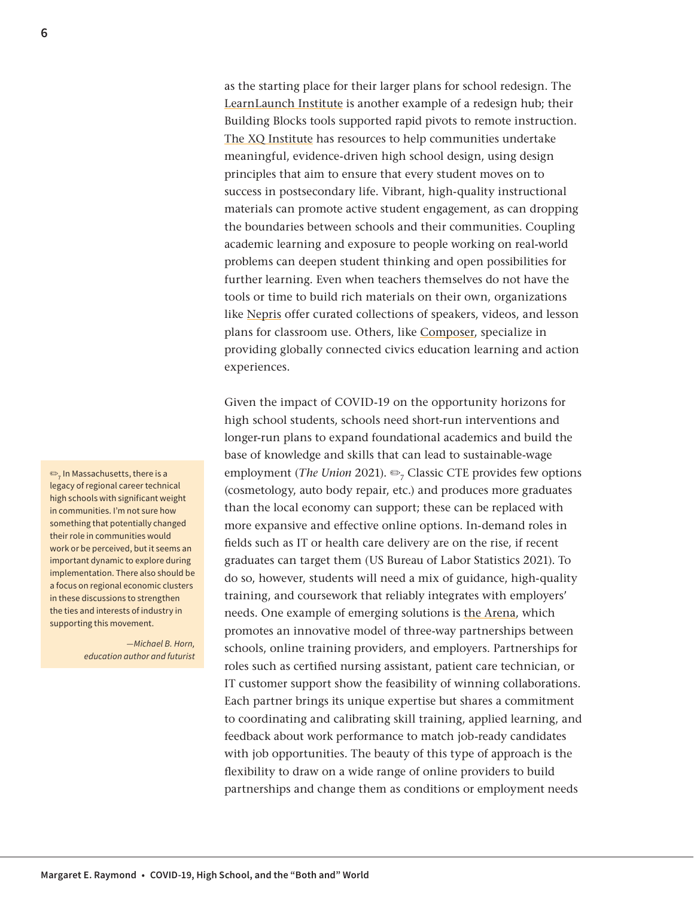as the starting place for their larger plans for school redesign. The [LearnLaunch Institute](https://learnlaunch.org/) is another example of a redesign hub; their Building Blocks tools supported rapid pivots to remote instruction. [The XQ Institute](https://xqsuperschool.org/) has resources to help communities undertake meaningful, evidence-driven high school design, using design principles that aim to ensure that every student moves on to success in postsecondary life. Vibrant, high-quality instructional materials can promote active student engagement, as can dropping the boundaries between schools and their communities. Coupling academic learning and exposure to people working on real-world problems can deepen student thinking and open possibilities for further learning. Even when teachers themselves do not have the tools or time to build rich materials on their own, organizations like [Nepris](https://www.nepris.com/home/v4) offer curated collections of speakers, videos, and lesson plans for classroom use. Others, like [Composer,](https://composereducation.org/) specialize in providing globally connected civics education learning and action experiences.

Given the impact of COVID-19 on the opportunity horizons for high school students, schools need short-run interventions and longer-run plans to expand foundational academics and build the base of knowledge and skills that can lead to sustainable-wage employment (*The Union* 2021). ➡<sub>7</sub> Classic CTE provides few options (cosmetology, auto body repair, etc.) and produces more graduates than the local economy can support; these can be replaced with more expansive and effective online options. In-demand roles in fields such as IT or health care delivery are on the rise, if recent graduates can target them (US Bureau of Labor Statistics 2021). To do so, however, students will need a mix of guidance, high-quality training, and coursework that reliably integrates with employers' needs. One example of emerging solutions is [the Arena](https://thearenainc.org/), which promotes an innovative model of three-way partnerships between schools, online training providers, and employers. Partnerships for roles such as certified nursing assistant, patient care technician, or IT customer support show the feasibility of winning collaborations. Each partner brings its unique expertise but shares a commitment to coordinating and calibrating skill training, applied learning, and feedback about work performance to match job-ready candidates with job opportunities. The beauty of this type of approach is the flexibility to draw on a wide range of online providers to build partnerships and change them as conditions or employment needs

 $\mathbf{P}_7$  In Massachusetts, there is a legacy of regional career technical high schools with significant weight in communities. I'm not sure how something that potentially changed their role in communities would work or be perceived, but it seems an important dynamic to explore during implementation. There also should be a focus on regional economic clusters in these discussions to strengthen the ties and interests of industry in supporting this movement.

> *—Michael B. Horn, education author and futurist*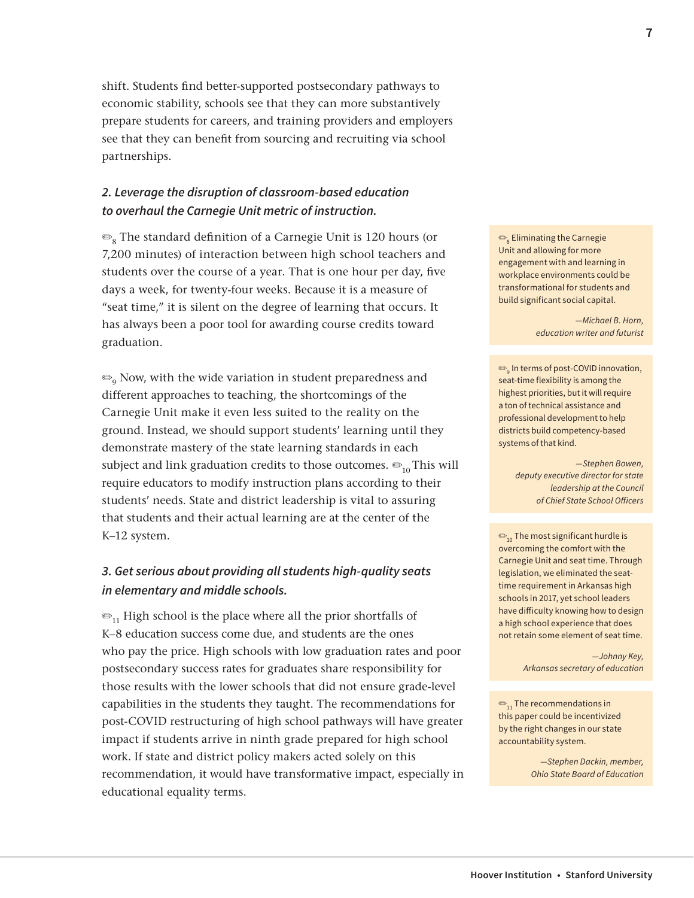shift. Students find better-supported postsecondary pathways to economic stability, schools see that they can more substantively prepare students for careers, and training providers and employers see that they can benefit from sourcing and recruiting via school partnerships.

## *2. Leverage the disruption of classroom-based education to overhaul the Carnegie Unit metric of instruction.*

 $\mathcal{P}_8$  The standard definition of a Carnegie Unit is 120 hours (or 7,200 minutes) of interaction between high school teachers and students over the course of a year. That is one hour per day, five days a week, for twenty-four weeks. Because it is a measure of "seat time," it is silent on the degree of learning that occurs. It has always been a poor tool for awarding course credits toward graduation.

 $\mathcal{P}_{\text{o}}$  Now, with the wide variation in student preparedness and different approaches to teaching, the shortcomings of the Carnegie Unit make it even less suited to the reality on the ground. Instead, we should support students' learning until they demonstrate mastery of the state learning standards in each subject and link graduation credits to those outcomes.  $\mathfrak{S}_{10}$  This will require educators to modify instruction plans according to their students' needs. State and district leadership is vital to assuring that students and their actual learning are at the center of the K–12 system.

## *3. Get serious about providing all students high-quality seats in elementary and middle schools.*

 $\mathcal{D}_{11}$  High school is the place where all the prior shortfalls of K–8 education success come due, and students are the ones who pay the price. High schools with low graduation rates and poor postsecondary success rates for graduates share responsibility for those results with the lower schools that did not ensure grade-level capabilities in the students they taught. The recommendations for post-COVID restructuring of high school pathways will have greater impact if students arrive in ninth grade prepared for high school work. If state and district policy makers acted solely on this recommendation, it would have transformative impact, especially in educational equality terms.

 $\textbf{\large{\texttt{\small{@}}}}_{\textbf{8}}$  Eliminating the Carnegie Unit and allowing for more engagement with and learning in workplace environments could be transformational for students and build significant social capital.

> *—Michael B. Horn, education writer and futurist*

 $\bigcirc_{9}$  In terms of post-COVID innovation, seat-time flexibility is among the highest priorities, but it will require a ton of technical assistance and professional development to help districts build competency-based systems of that kind.

> *—Stephen Bowen, deputy executive director for state leadership at the Council of Chief State School Officers*

 $\mathcal{D}_{10}$  The most significant hurdle is overcoming the comfort with the Carnegie Unit and seat time. Through legislation, we eliminated the seattime requirement in Arkansas high schools in 2017, yet school leaders have difficulty knowing how to design a high school experience that does not retain some element of seat time.

> *—Johnny Key, Arkansas secretary of education*

 $\mathfrak{S}_{11}$  The recommendations in this paper could be incentivized by the right changes in our state accountability system.

> *—Stephen Dackin, member, Ohio State Board of Education*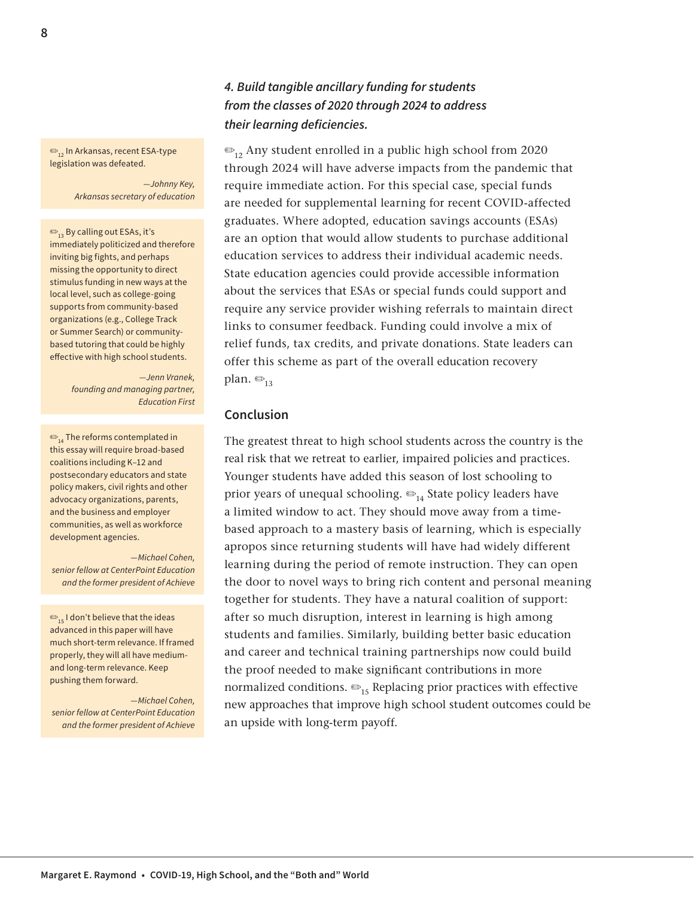✏12 In Arkansas, recent ESA-type legislation was defeated.

> *—Johnny Key, Arkansas secretary of education*

 $\mathfrak{S}_{12}$  By calling out ESAs, it's immediately politicized and therefore inviting big fights, and perhaps missing the opportunity to direct stimulus funding in new ways at the local level, such as college-going supports from community-based organizations (e.g., College Track or Summer Search) or communitybased tutoring that could be highly effective with high school students.

> *—Jenn Vranek, founding and managing partner, Education First*

 $\bigcirc$ <sub>14</sub> The reforms contemplated in this essay will require broad-based coalitions including K–12 and postsecondary educators and state policy makers, civil rights and other advocacy organizations, parents, and the business and employer communities, as well as workforce development agencies.

*—Michael Cohen, senior fellow at CenterPoint Education and the former president of Achieve*

 $\bigcirc$ <sub>15</sub> I don't believe that the ideas advanced in this paper will have much short-term relevance. If framed properly, they will all have mediumand long-term relevance. Keep pushing them forward.

*—Michael Cohen, senior fellow at CenterPoint Education and the former president of Achieve*

# *4. Build tangible ancillary funding for students from the classes of 2020 through 2024 to address their learning deficiencies.*

 $\mathcal{D}_{12}$  Any student enrolled in a public high school from 2020 through 2024 will have adverse impacts from the pandemic that require immediate action. For this special case, special funds are needed for supplemental learning for recent COVID-affected graduates. Where adopted, education savings accounts (ESAs) are an option that would allow students to purchase additional education services to address their individual academic needs. State education agencies could provide accessible information about the services that ESAs or special funds could support and require any service provider wishing referrals to maintain direct links to consumer feedback. Funding could involve a mix of relief funds, tax credits, and private donations. State leaders can offer this scheme as part of the overall education recovery plan.  $\bigcirc$ <sub>13</sub>

#### **Conclusion**

The greatest threat to high school students across the country is the real risk that we retreat to earlier, impaired policies and practices. Younger students have added this season of lost schooling to prior years of unequal schooling.  $\bigcirc_{14}$  State policy leaders have a limited window to act. They should move away from a timebased approach to a mastery basis of learning, which is especially apropos since returning students will have had widely different learning during the period of remote instruction. They can open the door to novel ways to bring rich content and personal meaning together for students. They have a natural coalition of support: after so much disruption, interest in learning is high among students and families. Similarly, building better basic education and career and technical training partnerships now could build the proof needed to make significant contributions in more normalized conditions.  $\mathfrak{S}_{15}$  Replacing prior practices with effective new approaches that improve high school student outcomes could be an upside with long-term payoff.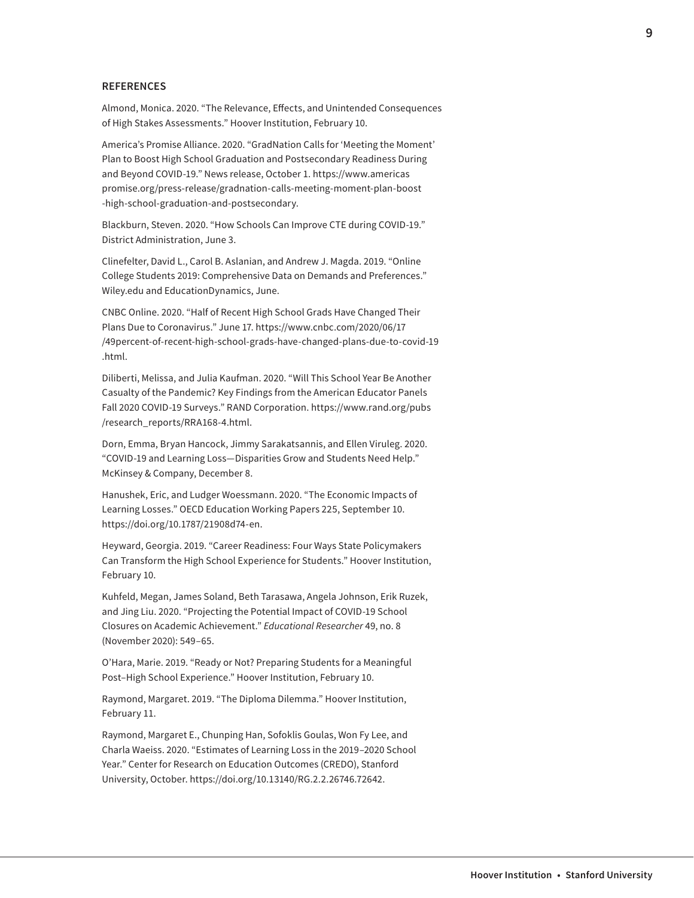#### **REFERENCES**

Almond, Monica. 2020. "The Relevance, Effects, and Unintended Consequences of High Stakes Assessments." Hoover Institution, February 10.

America's Promise Alliance. 2020. "GradNation Calls for 'Meeting the Moment' Plan to Boost High School Graduation and Postsecondary Readiness During and Beyond COVID-19." News release, October 1. [https://www.americas](https://www.americaspromise.org/press-release/gradnation-calls-meeting-moment-plan-boost-high-school-graduation-and-postsecondary) [promise.org/press-release/gradnation-calls-meeting-moment-plan-boost](https://www.americaspromise.org/press-release/gradnation-calls-meeting-moment-plan-boost-high-school-graduation-and-postsecondary) [-high-school-graduation-and-postsecondary](https://www.americaspromise.org/press-release/gradnation-calls-meeting-moment-plan-boost-high-school-graduation-and-postsecondary).

[Blackburn](https://districtadministration.com/author/sblackburn/), Steven. 2020. "How Schools Can Improve CTE during COVID-19." District Administration, June 3.

Clinefelter, David L., Carol B. Aslanian, and Andrew J. Magda. 2019. "Online College Students 2019: Comprehensive Data on Demands and Preferences." [Wiley.edu](http://Wiley.edu) and EducationDynamics, June.

CNBC Online. 2020. "Half of Recent High School Grads Have Changed Their Plans Due to Coronavirus." June 17. [https://www.cnbc.com/2020/06/17](https://www.cnbc.com/2020/06/17/49percent-of-recent-high-school-grads-have-changed-plans-due-to-covid-19.html) [/49percent-of-recent-high-school-grads-have-changed-plans-due-to-covid-19](https://www.cnbc.com/2020/06/17/49percent-of-recent-high-school-grads-have-changed-plans-due-to-covid-19.html) [.html](https://www.cnbc.com/2020/06/17/49percent-of-recent-high-school-grads-have-changed-plans-due-to-covid-19.html).

Diliberti, Melissa, and Julia Kaufman. 2020. "Will This School Year Be Another Casualty of the Pandemic? Key Findings from the American Educator Panels Fall 2020 COVID-19 Surveys." RAND Corporation. [https://www.rand.org/pubs](https://www.rand.org/pubs/research_reports/RRA168-4.html) [/research\\_reports/RRA168-4.html](https://www.rand.org/pubs/research_reports/RRA168-4.html).

Dorn, Emma, Bryan Hancock, Jimmy Sarakatsannis, and Ellen Viruleg. 2020. "COVID-19 and Learning Loss—Disparities Grow and Students Need Help." McKinsey & Company, December 8.

Hanushek, Eric, and Ludger Woessmann. 2020. "The Economic Impacts of Learning Losses." OECD Education Working Papers 225, September 10. <https://doi.org/10.1787/21908d74-en>.

Heyward, Georgia. 2019. "Career Readiness: Four Ways State Policymakers Can Transform the High School Experience for Students." Hoover Institution, February 10.

Kuhfeld, Megan, James Soland, Beth Tarasawa, Angela Johnson, Erik Ruzek, and Jing Liu. 2020. "Projecting the Potential Impact of COVID-19 School Closures on Academic Achievement." *Educational Researcher* 49, no. 8 (November 2020): 549–65.

O'Hara, Marie. 2019. "Ready or Not? Preparing Students for a Meaningful Post–High School Experience." Hoover Institution, February 10.

Raymond, Margaret. 2019. "The Diploma Dilemma." Hoover Institution, February 11.

Raymond, Margaret E., Chunping Han, Sofoklis Goulas, Won Fy Lee, and Charla Waeiss. 2020. "Estimates of Learning Loss in the 2019–2020 School Year." Center for Research on Education Outcomes (CREDO), Stanford University, October. [https://doi.org/10.13140/RG.2.2.26746.72642.](https://doi.org/10.13140/RG.2.2.26746.72642)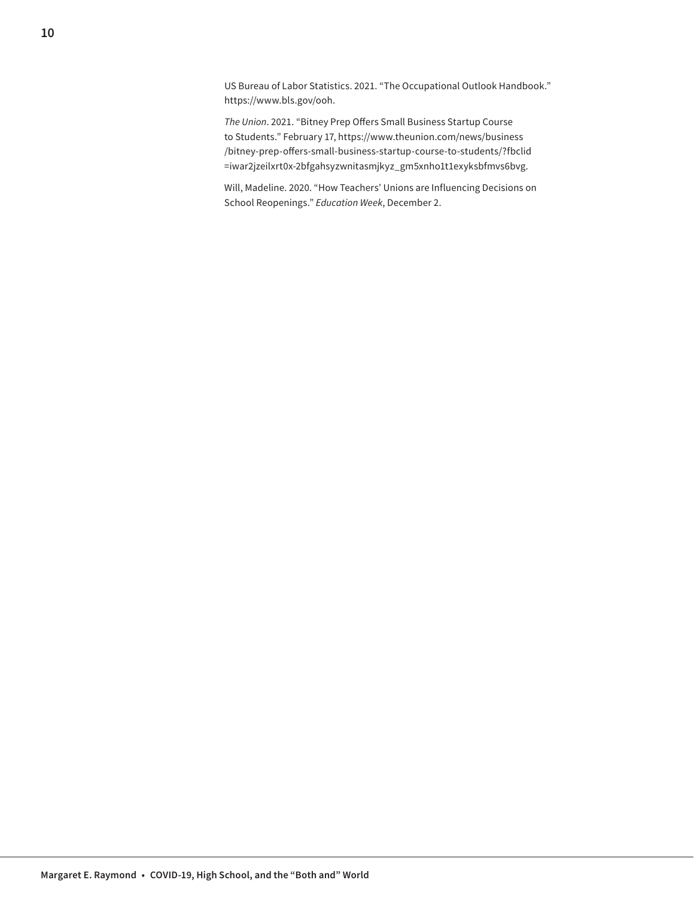US Bureau of Labor Statistics. 2021. "The Occupational Outlook Handbook." [https://www.bls.gov/ooh.](https://www.bls.gov/ooh/)

*The Union*. 2021. "Bitney Prep Offers Small Business Startup Course to Students." February 17, [https://www.theunion.com/news/business](https://www.theunion.com/news/business/bitney-prep-offers-small-business-startup-course-to-students/?fbclid=iwar2jzeilxrt0x-2bfgahsyzwnitasmjkyz_gm5xnho1t1exyksbfmvs6bvg) [/bitney-prep-offers-small-business-startup-course-to-students/?fbclid](https://www.theunion.com/news/business/bitney-prep-offers-small-business-startup-course-to-students/?fbclid=iwar2jzeilxrt0x-2bfgahsyzwnitasmjkyz_gm5xnho1t1exyksbfmvs6bvg) [=iwar2jzeilxrt0x-2bfgahsyzwnitasmjkyz\\_gm5xnho1t1exyksbfmvs6bvg.](https://www.theunion.com/news/business/bitney-prep-offers-small-business-startup-course-to-students/?fbclid=iwar2jzeilxrt0x-2bfgahsyzwnitasmjkyz_gm5xnho1t1exyksbfmvs6bvg)

Will, Madeline. 2020. "How Teachers' Unions are Influencing Decisions on School Reopenings." *Education Week*, December 2.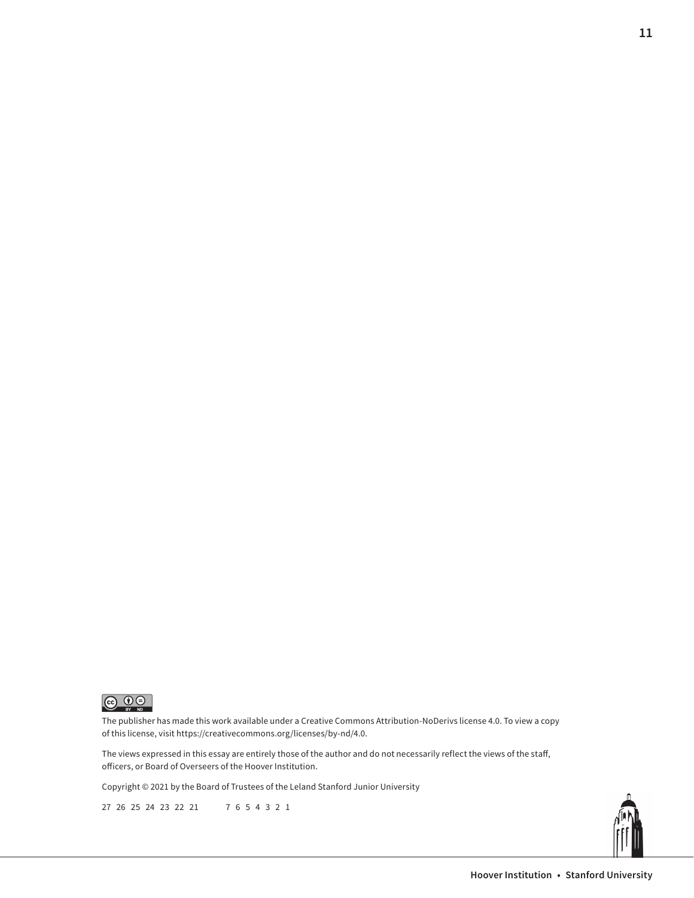

The publisher has made this work available under a Creative Commons Attribution-NoDerivs license 4.0. To view a copy of this license, visit <https://creativecommons.org/licenses/by-nd/4.0>.

The views expressed in this essay are entirely those of the author and do not necessarily reflect the views of the staff, officers, or Board of Overseers of the Hoover Institution.

Copyright © 2021 by the Board of Trustees of the Leland Stanford Junior University

27 26 25 24 23 22 21 7 6 5 4 3 2 1